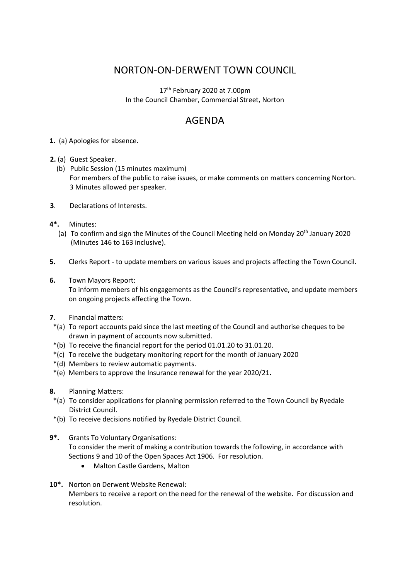## NORTON-ON-DERWENT TOWN COUNCIL

17<sup>th</sup> February 2020 at 7.00pm In the Council Chamber, Commercial Street, Norton

# AGENDA

- **1.** (a) Apologies for absence.
- **2.** (a) Guest Speaker.
	- (b) Public Session (15 minutes maximum) For members of the public to raise issues, or make comments on matters concerning Norton. 3 Minutes allowed per speaker.
- **3**. Declarations of Interests.
- **4\*.** Minutes:
	- (a) To confirm and sign the Minutes of the Council Meeting held on Monday  $20<sup>th</sup>$  January 2020 (Minutes 146 to 163 inclusive).
- **5.** Clerks Report to update members on various issues and projects affecting the Town Council.
- **6.** Town Mayors Report:

 To inform members of his engagements as the Council's representative, and update members on ongoing projects affecting the Town.

- **7**. Financial matters:
- \*(a) To report accounts paid since the last meeting of the Council and authorise cheques to be drawn in payment of accounts now submitted.
- \*(b) To receive the financial report for the period 01.01.20 to 31.01.20.
- \*(c) To receive the budgetary monitoring report for the month of January 2020
- \*(d) Members to review automatic payments.
- \*(e) Members to approve the Insurance renewal for the year 2020/21**.**
- **8.** Planning Matters:
- \*(a) To consider applications for planning permission referred to the Town Council by Ryedale District Council.
- \*(b) To receive decisions notified by Ryedale District Council.
- **9\*.** Grants To Voluntary Organisations: To consider the merit of making a contribution towards the following, in accordance with Sections 9 and 10 of the Open Spaces Act 1906. For resolution.
	- Malton Castle Gardens, Malton
- **10\*.** Norton on Derwent Website Renewal: Members to receive a report on the need for the renewal of the website. For discussion and resolution.